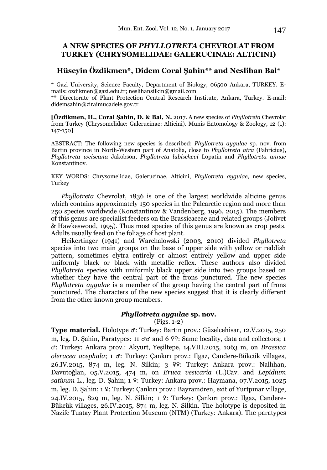# **A NEW SPECIES OF** *PHYLLOTRETA* **CHEVROLAT FROM TURKEY (CHRYSOMELIDAE: GALERUCINAE: ALTICINI)**

# **Hüseyin Özdikmen\*, Didem Coral Şahin\*\* and Neslihan Bal\***

\* Gazi University, Science Faculty, Department of Biology, 06500 Ankara, TURKEY. Emails: ozdikmen@gazi.edu.tr; neslihansilkin@gmail.com

\*\* Directorate of Plant Protection Central Research Institute, Ankara, Turkey. E-mail: didemsahin@ziraimucadele.gov.tr

**[Özdikmen, H., Coral Şahin, D. & Bal, N.** 2017. A new species of *Phyllotreta* Chevrolat from Turkey (Chrysomelidae: Galerucinae: Alticini). Munis Entomology & Zoology, 12 (1): 147-150**]**

ABSTRACT: The following new species is described: *Phyllotreta aygulae* sp. nov. from Bartın province in North-Western part of Anatolia, close to *Phyllotreta atra* (Fabricius), *Phyllotreta weiseana* Jakobson, *Phyllotreta lubischevi* Lopatin and *Phyllotreta annae*  Konstantinov.

KEY WORDS: Chrysomelidae, Galerucinae, Alticini, *Phyllotreta aygulae,* new species, Turkey

*Phyllotreta* Chevrolat, 1836 is one of the largest worldwide alticine genus which contains approximately 150 species in the Palearctic region and more than 250 species worldwide (Konstantinov & Vandenberg, 1996, 2015). The members of this genus are specialist feeders on the Brassicaceae and related groups (Jolivet & Hawkeswood, 1995). Thus most species of this genus are known as crop pests. Adults usually feed on the foliage of host plant.

Heikertinger (1941) and Warchalowski (2003, 2010) divided *Phyllotreta*  species into two main groups on the base of upper side with yellow or reddish pattern, sometimes elytra entirely or almost entirely yellow and upper side uniformly black or black with metallic reflex. These authors also divided *Phyllotreta* species with uniformly black upper side into two groups based on whether they have the central part of the frons punctured. The new species *Phyllotreta aygulae* is a member of the group having the central part of frons punctured. The characters of the new species suggest that it is clearly different from the other known group members.

## *Phyllotreta aygulae* **sp. nov.**

(Figs. 1-2)

**Type material.** Holotype ♂: Turkey: Bartın prov.: Güzelcehisar, 12.V.2015, 250 m, leg. D. Sahin, Paratypes: 11  $\sigma\sigma$  and 6  $\varphi$ ?: Same locality, data and collectors; 1 ♂: Turkey: Ankara prov.: Akyurt, Yeşiltepe, 14.VIII.2015, 1063 m, on *Brassica oleracea acephala*; 1 ♂: Turkey: Çankırı prov.: Ilgaz, Candere-Bükcük villages, 26.IV.2015, 874 m, leg. N. Silkin; 3 ♀♀: Turkey: Ankara prov.: Nallıhan, Davutoğlan, 05.V.2015, 474 m, on *Eruca vesicaria* (L.)Cav. and *Lepidium sativum* L., leg. D. Şahin; 1 ♀: Turkey: Ankara prov.: Haymana, 07.V.2015, 1025 m, leg. D. Şahin; 1 ♀: Turkey: Çankırı prov.: Bayramören, exit of Yurtpınar village, 24.IV.2015, 829 m, leg. N. Silkin; 1 ♀: Turkey: Çankırı prov.: Ilgaz, Candere-Bükcük villages, 26.IV.2015, 874 m, leg. N. Silkin. The holotype is deposited in Nazife Tuatay Plant Protection Museum (NTM) (Turkey: Ankara). The paratypes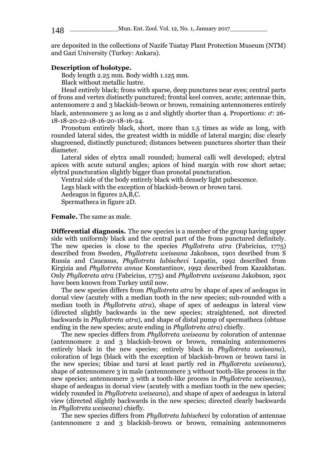are deposited in the collections of Nazife Tuatay Plant Protection Museum (NTM) and Gazi University (Turkey: Ankara).

#### **Description of holotype.**

Body length 2.25 mm. Body width 1.125 mm.

Black without metallic lustre.

Head entirely black; frons with sparse, deep punctures near eyes; central parts of frons and vertex distinctly punctured; frontal keel convex, acute; antennae thin, antennomere 2 and 3 blackish-brown or brown, remaining antennomeres entirely black, antennomere 3 as long as 2 and slightly shorter than 4. Proportions:  $\sigma$ : 26-18-18-20-22-18-16-20-18-16-24.

Pronotum entirely black, short, more than 1.5 times as wide as long, with rounded lateral sides, the greatest width in middle of lateral margin; disc clearly shagreened, distinctly punctured; distances between punctures shorter than their diameter.

Lateral sides of elytra small rounded; humeral calli well developed; elytral apices with acute sutural angles; apices of hind margin with row short setae; elytral puncturation slightly bigger than pronotal puncturation.

Ventral side of the body entirely black with densely light pubescence.

Legs black with the exception of blackish-brown or brown tarsi.

Aedeagus in figures 2A,B,C.

Spermatheca in figure 2D.

**Female.** The same as male.

**Differential diagnosis.** The new species is a member of the group having upper side with uniformly black and the central part of the frons punctured definitely. The new species is close to the species *Phyllotreta atra* (Fabricius, 1775) described from Sweden, *Phyllotreta weiseana* Jakobson, 1901 desribed from S Russia and Caucasus, *Phyllotreta lubischevi* Lopatin, 1992 described from Kirgizia and *Phyllotreta annae* Konstantinov, 1992 described from Kazakhstan. Only *Phyllotreta atra* (Fabricius, 1775) and *Phyllotreta weiseana* Jakobson, 1901 have been known from Turkey until now.

The new species differs from *Phyllotreta atra* by shape of apex of aedeagus in dorsal view (acutely with a median tooth in the new species; sub-rounded with a median tooth in *Phyllotreta atra*), shape of apex of aedeagus in lateral view (directed slightly backwards in the new species; straightened, not directed backwards in *Phyllotreta atra*), and shape of distal pump of spermatheca (obtuse ending in the new species; acute ending in *Phyllotreta atra*) chiefly.

The new species differs from *Phyllotreta weiseana* by coloration of antennae (antennomere 2 and 3 blackish-brown or brown, remaining antennomeres entirely black in the new species; entirely black in *Phyllotreta weiseana*), coloration of legs (black with the exception of blackish-brown or brown tarsi in the new species; tibiae and tarsi at least partly red in *Phyllotreta weiseana*), shape of antennomere 3 in male (antennomere 3 without tooth-like process in the new species; antennomere 3 with a tooth-like process in *Phyllotreta weiseana*), shape of aedeagus in dorsal view (acutely with a median tooth in the new species; widely rounded in *Phyllotreta weiseana*), and shape of apex of aedeagus in lateral view (directed slightly backwards in the new species; directed clearly backwards in *Phyllotreta weiseana*) chiefly.

The new species differs from *Phyllotreta lubischevi* by coloration of antennae (antennomere 2 and 3 blackish-brown or brown, remaining antennomeres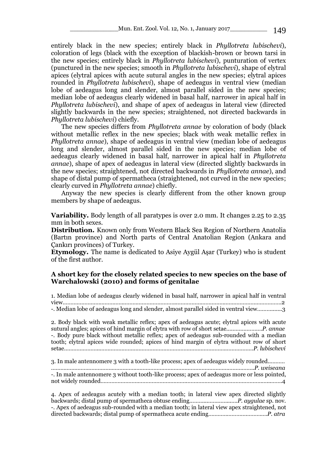entirely black in the new species; entirely black in *Phyllotreta lubischevi*), coloration of legs (black with the exception of blackish-brown or brown tarsi in the new species; entirely black in *Phyllotreta lubischevi*), punturation of vertex (punctured in the new species; smooth in *Phyllotreta lubischevi*), shape of elytral apices (elytral apices with acute sutural angles in the new species; elytral apices rounded in *Phyllotreta lubischevi*), shape of aedeagus in ventral view (median lobe of aedeagus long and slender, almost parallel sided in the new species; median lobe of aedeagus clearly widened in basal half, narrower in apical half in *Phyllotreta lubischevi*), and shape of apex of aedeagus in lateral view (directed slightly backwards in the new species; straightened, not directed backwards in *Phyllotreta lubischevi*) chiefly.

The new species differs from *Phyllotreta annae* by coloration of body (black without metallic reflex in the new species; black with weak metallic reflex in *Phyllotreta annae*), shape of aedeagus in ventral view (median lobe of aedeagus long and slender, almost parallel sided in the new species; median lobe of aedeagus clearly widened in basal half, narrower in apical half in *Phyllotreta annae*), shape of apex of aedeagus in lateral view (directed slightly backwards in the new species; straightened, not directed backwards in *Phyllotreta annae*), and shape of distal pump of spermatheca (straightened, not curved in the new species; clearly curved in *Phyllotreta annae*) chiefly.

Anyway the new species is clearly different from the other known group members by shape of aedeagus.

**Variability.** Body length of all paratypes is over 2.0 mm. It changes 2.25 to 2.35 mm in both sexes.

**Distribution.** Known only from Western Black Sea Region of Northern Anatolia (Bartın province) and North parts of Central Anatolian Region (Ankara and Çankırı provinces) of Turkey.

**Etymology.** The name is dedicated to Asiye Aygül Aşar (Turkey) who is student of the first author.

## **A short key for the closely related species to new species on the base of Warchalowski (2010) and forms of genitalae**

1. Median lobe of aedeagus clearly widened in basal half, narrower in apical half in ventral view………………………………………………………………..………………………………………………………….2 -. Median lobe of aedeagus long and slender, almost parallel sided in ventral view................3

2. Body black with weak metallic reflex; apex of aedeagus acute; elytral apices with acute sutural angles; apices of hind margin of elytra with row of short setae….…………….…*P. annae* -. Body pure black without metallic reflex; apex of aedeagus sub-rounded with a median tooth; elytral apices wide rounded; apices of hind margin of elytra without row of short setae…………………..………………………………………………………………………………………*P. lubischevi*

3. In male antennomere 3 with a tooth-like process; apex of aedeagus widely rounded..……… …………………………………………………………………………………………………………………..*P. weiseana* -. In male antennomere 3 without tooth-like process; apex of aedeagus more or less pointed, not widely rounded………………………………………………..……………………………………………...…….4

4. Apex of aedeagus acutely with a median tooth; in lateral view apex directed slightly backwards; distal pump of spermatheca obtuse ending………...…………...….*P. aygulae* sp. nov. -. Apex of aedeagus sub-rounded with a median tooth; in lateral view apex straightened, not directed backwards; distal pump of spermatheca acute ending…………………….………….*P. atra*